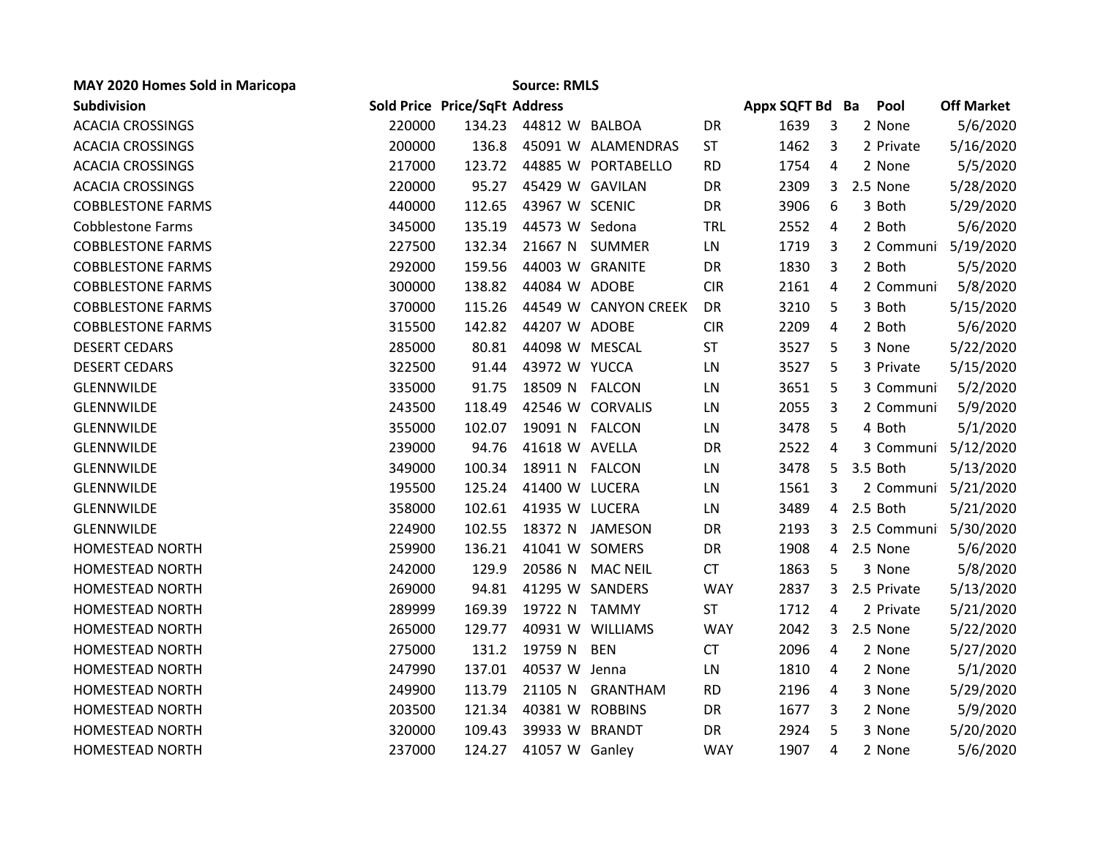| MAY 2020 Homes Sold in Maricopa |        |                               | <b>Source: RMLS</b> |                      |            |                 |   |             |                   |
|---------------------------------|--------|-------------------------------|---------------------|----------------------|------------|-----------------|---|-------------|-------------------|
| Subdivision                     |        | Sold Price Price/SqFt Address |                     |                      |            | Appx SQFT Bd Ba |   | Pool        | <b>Off Market</b> |
| <b>ACACIA CROSSINGS</b>         | 220000 | 134.23                        | 44812 W BALBOA      |                      | DR         | 1639            | 3 | 2 None      | 5/6/2020          |
| <b>ACACIA CROSSINGS</b>         | 200000 | 136.8                         |                     | 45091 W ALAMENDRAS   | <b>ST</b>  | 1462            | 3 | 2 Private   | 5/16/2020         |
| <b>ACACIA CROSSINGS</b>         | 217000 | 123.72                        |                     | 44885 W PORTABELLO   | <b>RD</b>  | 1754            | 4 | 2 None      | 5/5/2020          |
| <b>ACACIA CROSSINGS</b>         | 220000 | 95.27                         | 45429 W GAVILAN     |                      | DR         | 2309            | 3 | 2.5 None    | 5/28/2020         |
| <b>COBBLESTONE FARMS</b>        | 440000 | 112.65                        | 43967 W SCENIC      |                      | DR         | 3906            | 6 | 3 Both      | 5/29/2020         |
| <b>Cobblestone Farms</b>        | 345000 | 135.19                        | 44573 W Sedona      |                      | <b>TRL</b> | 2552            | 4 | 2 Both      | 5/6/2020          |
| <b>COBBLESTONE FARMS</b>        | 227500 | 132.34                        |                     | 21667 N SUMMER       | LN         | 1719            | 3 | 2 Communi   | 5/19/2020         |
| <b>COBBLESTONE FARMS</b>        | 292000 | 159.56                        | 44003 W GRANITE     |                      | DR         | 1830            | 3 | 2 Both      | 5/5/2020          |
| <b>COBBLESTONE FARMS</b>        | 300000 | 138.82                        | 44084 W ADOBE       |                      | <b>CIR</b> | 2161            | 4 | 2 Communi   | 5/8/2020          |
| <b>COBBLESTONE FARMS</b>        | 370000 | 115.26                        |                     | 44549 W CANYON CREEK | DR         | 3210            | 5 | 3 Both      | 5/15/2020         |
| <b>COBBLESTONE FARMS</b>        | 315500 | 142.82                        | 44207 W ADOBE       |                      | <b>CIR</b> | 2209            | 4 | 2 Both      | 5/6/2020          |
| <b>DESERT CEDARS</b>            | 285000 | 80.81                         | 44098 W MESCAL      |                      | <b>ST</b>  | 3527            | 5 | 3 None      | 5/22/2020         |
| <b>DESERT CEDARS</b>            | 322500 | 91.44                         | 43972 W YUCCA       |                      | LN         | 3527            | 5 | 3 Private   | 5/15/2020         |
| <b>GLENNWILDE</b>               | 335000 | 91.75                         | 18509 N FALCON      |                      | LN         | 3651            | 5 | 3 Communi   | 5/2/2020          |
| GLENNWILDE                      | 243500 | 118.49                        |                     | 42546 W CORVALIS     | LN         | 2055            | 3 | 2 Communi   | 5/9/2020          |
| GLENNWILDE                      | 355000 | 102.07                        | 19091 N FALCON      |                      | LN         | 3478            | 5 | 4 Both      | 5/1/2020          |
| GLENNWILDE                      | 239000 | 94.76                         | 41618 W AVELLA      |                      | DR         | 2522            | 4 | 3 Communi   | 5/12/2020         |
| GLENNWILDE                      | 349000 | 100.34                        | 18911 N FALCON      |                      | LN         | 3478            | 5 | 3.5 Both    | 5/13/2020         |
| GLENNWILDE                      | 195500 | 125.24                        | 41400 W LUCERA      |                      | LN         | 1561            | 3 | 2 Communi   | 5/21/2020         |
| GLENNWILDE                      | 358000 | 102.61                        | 41935 W LUCERA      |                      | LN         | 3489            | 4 | 2.5 Both    | 5/21/2020         |
| GLENNWILDE                      | 224900 | 102.55                        |                     | 18372 N JAMESON      | DR         | 2193            | 3 | 2.5 Communi | 5/30/2020         |
| <b>HOMESTEAD NORTH</b>          | 259900 | 136.21                        | 41041 W SOMERS      |                      | DR         | 1908            | 4 | 2.5 None    | 5/6/2020          |
| <b>HOMESTEAD NORTH</b>          | 242000 | 129.9                         |                     | 20586 N MAC NEIL     | <b>CT</b>  | 1863            | 5 | 3 None      | 5/8/2020          |
| <b>HOMESTEAD NORTH</b>          | 269000 | 94.81                         |                     | 41295 W SANDERS      | <b>WAY</b> | 2837            | 3 | 2.5 Private | 5/13/2020         |
| HOMESTEAD NORTH                 | 289999 | 169.39                        | 19722 N TAMMY       |                      | <b>ST</b>  | 1712            | 4 | 2 Private   | 5/21/2020         |
| <b>HOMESTEAD NORTH</b>          | 265000 | 129.77                        |                     | 40931 W WILLIAMS     | <b>WAY</b> | 2042            | 3 | 2.5 None    | 5/22/2020         |
| <b>HOMESTEAD NORTH</b>          | 275000 | 131.2                         | 19759 N             | <b>BEN</b>           | <b>CT</b>  | 2096            | 4 | 2 None      | 5/27/2020         |
| <b>HOMESTEAD NORTH</b>          | 247990 | 137.01                        | 40537 W Jenna       |                      | LN         | 1810            | 4 | 2 None      | 5/1/2020          |
| <b>HOMESTEAD NORTH</b>          | 249900 | 113.79                        | 21105 N             | <b>GRANTHAM</b>      | <b>RD</b>  | 2196            | 4 | 3 None      | 5/29/2020         |
| <b>HOMESTEAD NORTH</b>          | 203500 | 121.34                        | 40381 W ROBBINS     |                      | DR         | 1677            | 3 | 2 None      | 5/9/2020          |
| <b>HOMESTEAD NORTH</b>          | 320000 | 109.43                        | 39933 W BRANDT      |                      | DR         | 2924            | 5 | 3 None      | 5/20/2020         |
| HOMESTEAD NORTH                 | 237000 | 124.27                        | 41057 W Ganley      |                      | <b>WAY</b> | 1907            | 4 | 2 None      | 5/6/2020          |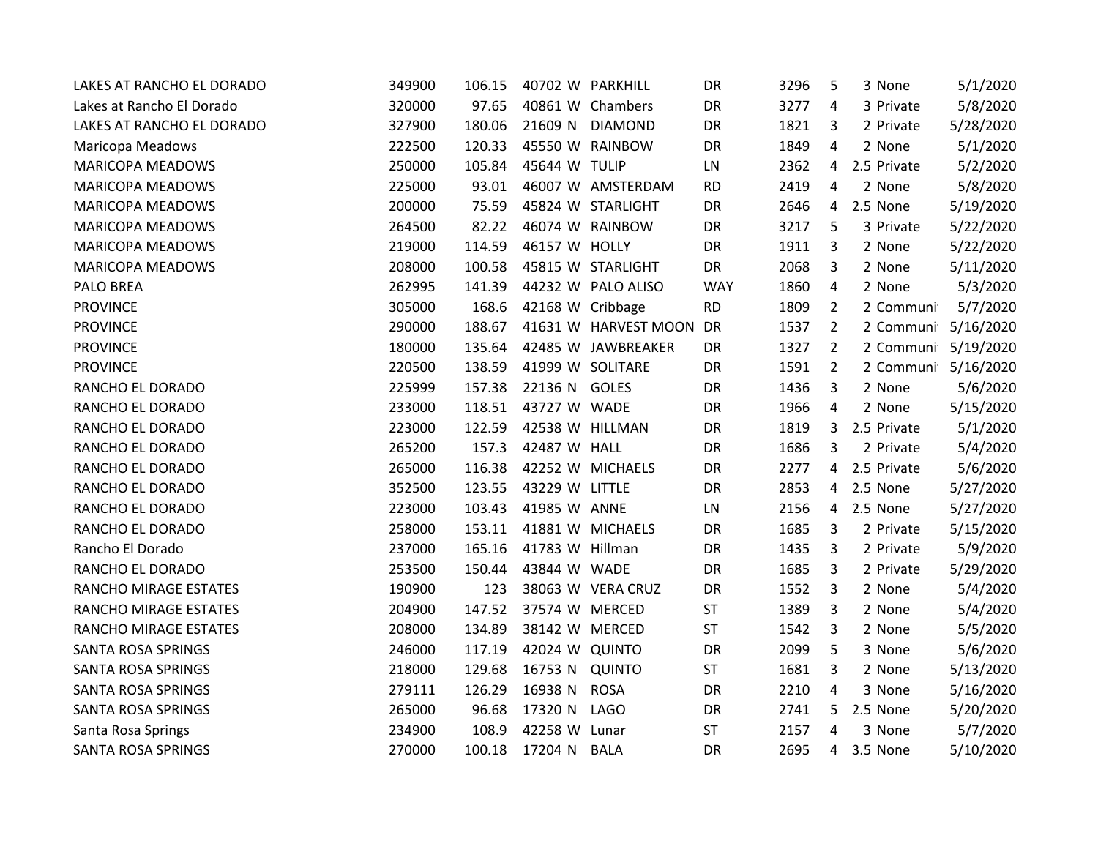| LAKES AT RANCHO EL DORADO | 349900 | 106.15 | 40702 W PARKHILL |                      | DR         | 3296 | 5              | 3 None      | 5/1/2020  |
|---------------------------|--------|--------|------------------|----------------------|------------|------|----------------|-------------|-----------|
| Lakes at Rancho El Dorado | 320000 | 97.65  |                  | 40861 W Chambers     | <b>DR</b>  | 3277 | 4              | 3 Private   | 5/8/2020  |
| LAKES AT RANCHO EL DORADO | 327900 | 180.06 | 21609 N          | <b>DIAMOND</b>       | DR         | 1821 | 3              | 2 Private   | 5/28/2020 |
| Maricopa Meadows          | 222500 | 120.33 |                  | 45550 W RAINBOW      | DR         | 1849 | 4              | 2 None      | 5/1/2020  |
| <b>MARICOPA MEADOWS</b>   | 250000 | 105.84 | 45644 W TULIP    |                      | LN         | 2362 | 4              | 2.5 Private | 5/2/2020  |
| <b>MARICOPA MEADOWS</b>   | 225000 | 93.01  |                  | 46007 W AMSTERDAM    | <b>RD</b>  | 2419 | 4              | 2 None      | 5/8/2020  |
| <b>MARICOPA MEADOWS</b>   | 200000 | 75.59  |                  | 45824 W STARLIGHT    | <b>DR</b>  | 2646 | 4              | 2.5 None    | 5/19/2020 |
| <b>MARICOPA MEADOWS</b>   | 264500 | 82.22  |                  | 46074 W RAINBOW      | DR         | 3217 | 5              | 3 Private   | 5/22/2020 |
| <b>MARICOPA MEADOWS</b>   | 219000 | 114.59 | 46157 W HOLLY    |                      | DR         | 1911 | 3              | 2 None      | 5/22/2020 |
| <b>MARICOPA MEADOWS</b>   | 208000 | 100.58 |                  | 45815 W STARLIGHT    | DR         | 2068 | 3              | 2 None      | 5/11/2020 |
| <b>PALO BREA</b>          | 262995 | 141.39 |                  | 44232 W PALO ALISO   | <b>WAY</b> | 1860 | 4              | 2 None      | 5/3/2020  |
| <b>PROVINCE</b>           | 305000 | 168.6  | 42168 W Cribbage |                      | <b>RD</b>  | 1809 | $\overline{2}$ | 2 Communi   | 5/7/2020  |
| <b>PROVINCE</b>           | 290000 | 188.67 |                  | 41631 W HARVEST MOON | DR         | 1537 | $\overline{2}$ | 2 Communi   | 5/16/2020 |
| <b>PROVINCE</b>           | 180000 | 135.64 |                  | 42485 W JAWBREAKER   | DR         | 1327 | $\overline{2}$ | 2 Communi   | 5/19/2020 |
| <b>PROVINCE</b>           | 220500 | 138.59 | 41999 W SOLITARE |                      | DR         | 1591 | $\overline{2}$ | 2 Communi   | 5/16/2020 |
| RANCHO EL DORADO          | 225999 | 157.38 | 22136 N GOLES    |                      | DR         | 1436 | 3              | 2 None      | 5/6/2020  |
| RANCHO EL DORADO          | 233000 | 118.51 | 43727 W WADE     |                      | DR         | 1966 | 4              | 2 None      | 5/15/2020 |
| RANCHO EL DORADO          | 223000 | 122.59 | 42538 W HILLMAN  |                      | DR         | 1819 | 3              | 2.5 Private | 5/1/2020  |
| RANCHO EL DORADO          | 265200 | 157.3  | 42487 W HALL     |                      | <b>DR</b>  | 1686 | 3              | 2 Private   | 5/4/2020  |
| RANCHO EL DORADO          | 265000 | 116.38 |                  | 42252 W MICHAELS     | DR         | 2277 | 4              | 2.5 Private | 5/6/2020  |
| RANCHO EL DORADO          | 352500 | 123.55 | 43229 W LITTLE   |                      | DR         | 2853 | 4              | 2.5 None    | 5/27/2020 |
| RANCHO EL DORADO          | 223000 | 103.43 | 41985 W ANNE     |                      | LN         | 2156 |                | 4 2.5 None  | 5/27/2020 |
| RANCHO EL DORADO          | 258000 | 153.11 |                  | 41881 W MICHAELS     | DR         | 1685 | 3              | 2 Private   | 5/15/2020 |
| Rancho El Dorado          | 237000 | 165.16 | 41783 W Hillman  |                      | DR         | 1435 | 3              | 2 Private   | 5/9/2020  |
| RANCHO EL DORADO          | 253500 | 150.44 | 43844 W WADE     |                      | DR         | 1685 | 3              | 2 Private   | 5/29/2020 |
| RANCHO MIRAGE ESTATES     | 190900 | 123    |                  | 38063 W VERA CRUZ    | DR         | 1552 | 3              | 2 None      | 5/4/2020  |
| RANCHO MIRAGE ESTATES     | 204900 | 147.52 | 37574 W MERCED   |                      | <b>ST</b>  | 1389 | 3              | 2 None      | 5/4/2020  |
| RANCHO MIRAGE ESTATES     | 208000 | 134.89 | 38142 W MERCED   |                      | ST         | 1542 | 3              | 2 None      | 5/5/2020  |
| SANTA ROSA SPRINGS        | 246000 | 117.19 | 42024 W QUINTO   |                      | DR         | 2099 | 5              | 3 None      | 5/6/2020  |
| SANTA ROSA SPRINGS        | 218000 | 129.68 | 16753 N          | QUINTO               | <b>ST</b>  | 1681 | 3              | 2 None      | 5/13/2020 |
| SANTA ROSA SPRINGS        | 279111 | 126.29 | 16938 N          | <b>ROSA</b>          | DR         | 2210 | $\overline{4}$ | 3 None      | 5/16/2020 |
| SANTA ROSA SPRINGS        | 265000 | 96.68  | 17320 N LAGO     |                      | DR         | 2741 | 5              | 2.5 None    | 5/20/2020 |
| Santa Rosa Springs        | 234900 | 108.9  | 42258 W Lunar    |                      | <b>ST</b>  | 2157 | 4              | 3 None      | 5/7/2020  |
| <b>SANTA ROSA SPRINGS</b> | 270000 | 100.18 | 17204 N BALA     |                      | <b>DR</b>  | 2695 | 4              | 3.5 None    | 5/10/2020 |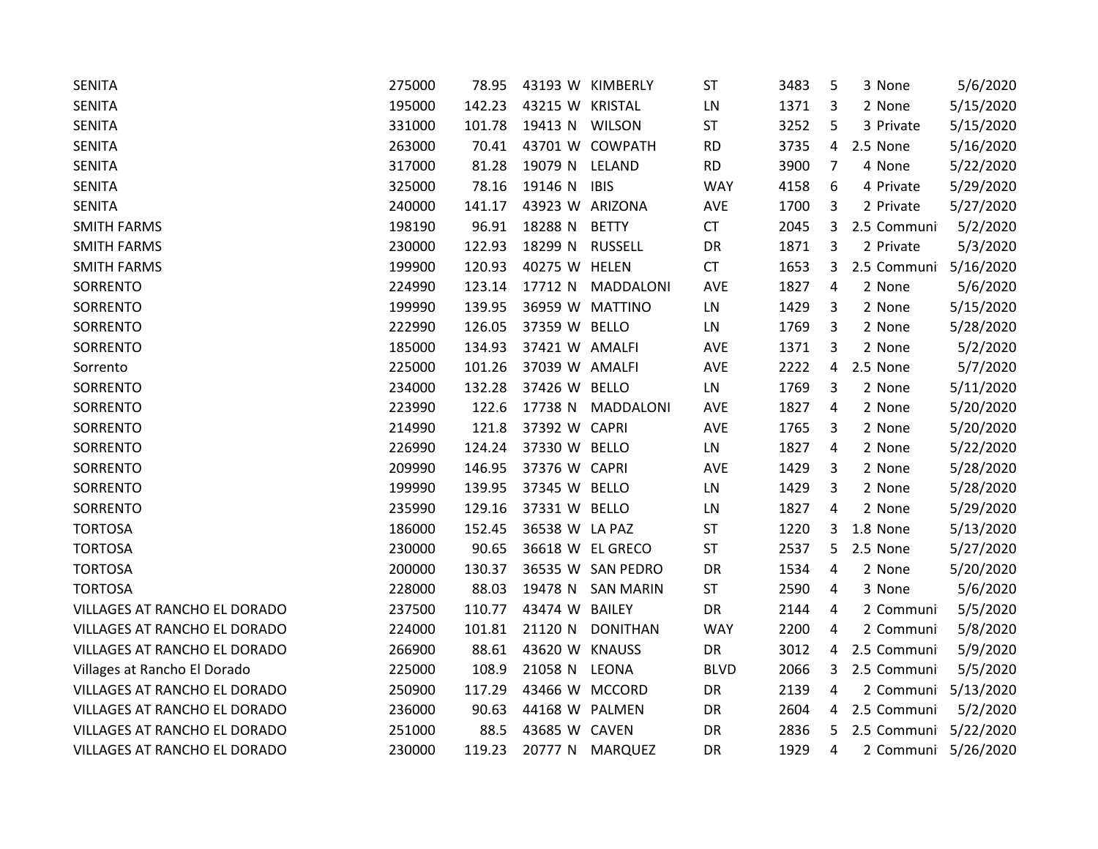| <b>SENITA</b>                | 275000 | 78.95  |                 | 43193 W KIMBERLY  | <b>ST</b>   | 3483 | 5              | 3 None              | 5/6/2020  |
|------------------------------|--------|--------|-----------------|-------------------|-------------|------|----------------|---------------------|-----------|
| <b>SENITA</b>                | 195000 | 142.23 | 43215 W KRISTAL |                   | LN          | 1371 | 3              | 2 None              | 5/15/2020 |
| <b>SENITA</b>                | 331000 | 101.78 | 19413 N WILSON  |                   | ST          | 3252 | 5              | 3 Private           | 5/15/2020 |
| <b>SENITA</b>                | 263000 | 70.41  |                 | 43701 W COWPATH   | <b>RD</b>   | 3735 | $\overline{4}$ | 2.5 None            | 5/16/2020 |
| <b>SENITA</b>                | 317000 | 81.28  | 19079 N         | LELAND            | <b>RD</b>   | 3900 | 7              | 4 None              | 5/22/2020 |
| <b>SENITA</b>                | 325000 | 78.16  | 19146 N         | <b>IBIS</b>       | <b>WAY</b>  | 4158 | 6              | 4 Private           | 5/29/2020 |
| <b>SENITA</b>                | 240000 | 141.17 | 43923 W ARIZONA |                   | AVE         | 1700 | 3              | 2 Private           | 5/27/2020 |
| <b>SMITH FARMS</b>           | 198190 | 96.91  | 18288 N         | <b>BETTY</b>      | CT          | 2045 | 3              | 2.5 Communi         | 5/2/2020  |
| <b>SMITH FARMS</b>           | 230000 | 122.93 | 18299 N         | <b>RUSSELL</b>    | DR          | 1871 | 3              | 2 Private           | 5/3/2020  |
| <b>SMITH FARMS</b>           | 199900 | 120.93 | 40275 W HELEN   |                   | CT          | 1653 | 3              | 2.5 Communi         | 5/16/2020 |
| SORRENTO                     | 224990 | 123.14 | 17712 N         | MADDALONI         | <b>AVE</b>  | 1827 | 4              | 2 None              | 5/6/2020  |
| SORRENTO                     | 199990 | 139.95 |                 | 36959 W MATTINO   | LN          | 1429 | 3              | 2 None              | 5/15/2020 |
| SORRENTO                     | 222990 | 126.05 | 37359 W BELLO   |                   | LN          | 1769 | 3              | 2 None              | 5/28/2020 |
| SORRENTO                     | 185000 | 134.93 | 37421 W AMALFI  |                   | AVE         | 1371 | 3              | 2 None              | 5/2/2020  |
| Sorrento                     | 225000 | 101.26 | 37039 W AMALFI  |                   | <b>AVE</b>  | 2222 | $\overline{4}$ | 2.5 None            | 5/7/2020  |
| SORRENTO                     | 234000 | 132.28 | 37426 W BELLO   |                   | LN          | 1769 | 3              | 2 None              | 5/11/2020 |
| SORRENTO                     | 223990 | 122.6  | 17738 N         | MADDALONI         | <b>AVE</b>  | 1827 | 4              | 2 None              | 5/20/2020 |
| SORRENTO                     | 214990 | 121.8  | 37392 W CAPRI   |                   | AVE         | 1765 | 3              | 2 None              | 5/20/2020 |
| SORRENTO                     | 226990 | 124.24 | 37330 W BELLO   |                   | LN          | 1827 | 4              | 2 None              | 5/22/2020 |
| SORRENTO                     | 209990 | 146.95 | 37376 W CAPRI   |                   | <b>AVE</b>  | 1429 | 3              | 2 None              | 5/28/2020 |
| SORRENTO                     | 199990 | 139.95 | 37345 W BELLO   |                   | LN          | 1429 | 3              | 2 None              | 5/28/2020 |
| SORRENTO                     | 235990 | 129.16 | 37331 W BELLO   |                   | LN          | 1827 | 4              | 2 None              | 5/29/2020 |
| <b>TORTOSA</b>               | 186000 | 152.45 | 36538 W LA PAZ  |                   | ST          | 1220 | 3              | 1.8 None            | 5/13/2020 |
| <b>TORTOSA</b>               | 230000 | 90.65  |                 | 36618 W EL GRECO  | <b>ST</b>   | 2537 | 5              | 2.5 None            | 5/27/2020 |
| <b>TORTOSA</b>               | 200000 | 130.37 |                 | 36535 W SAN PEDRO | DR          | 1534 | 4              | 2 None              | 5/20/2020 |
| <b>TORTOSA</b>               | 228000 | 88.03  | 19478 N         | <b>SAN MARIN</b>  | <b>ST</b>   | 2590 | 4              | 3 None              | 5/6/2020  |
| VILLAGES AT RANCHO EL DORADO | 237500 | 110.77 | 43474 W BAILEY  |                   | DR          | 2144 | 4              | 2 Communi           | 5/5/2020  |
| VILLAGES AT RANCHO EL DORADO | 224000 | 101.81 | 21120 N         | <b>DONITHAN</b>   | <b>WAY</b>  | 2200 | 4              | 2 Communi           | 5/8/2020  |
| VILLAGES AT RANCHO EL DORADO | 266900 | 88.61  | 43620 W KNAUSS  |                   | DR          | 3012 | 4              | 2.5 Communi         | 5/9/2020  |
| Villages at Rancho El Dorado | 225000 | 108.9  | 21058 N         | LEONA             | <b>BLVD</b> | 2066 | 3              | 2.5 Communi         | 5/5/2020  |
| VILLAGES AT RANCHO EL DORADO | 250900 | 117.29 | 43466 W MCCORD  |                   | DR          | 2139 | 4              | 2 Communi           | 5/13/2020 |
| VILLAGES AT RANCHO EL DORADO | 236000 | 90.63  | 44168 W PALMEN  |                   | DR          | 2604 | 4              | 2.5 Communi         | 5/2/2020  |
| VILLAGES AT RANCHO EL DORADO | 251000 | 88.5   | 43685 W CAVEN   |                   | DR          | 2836 | 5              | 2.5 Communi         | 5/22/2020 |
| VILLAGES AT RANCHO EL DORADO | 230000 | 119.23 |                 | 20777 N MARQUEZ   | DR          | 1929 | 4              | 2 Communi 5/26/2020 |           |